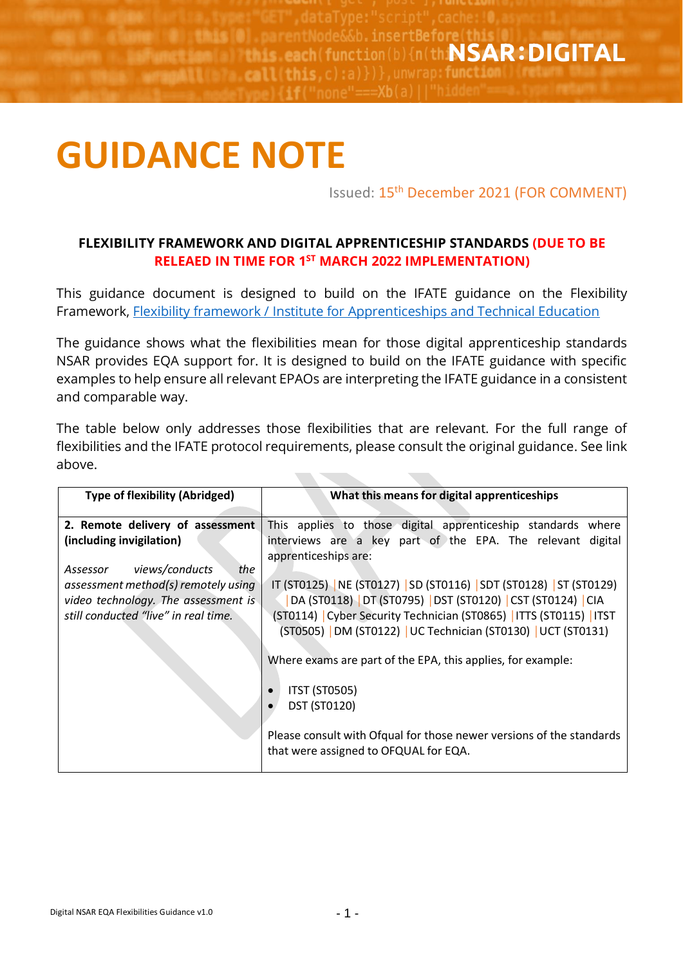**this O** . parentNode&&b. insertBefore(this each(function(b){n(thiNSAR:DIGITAL mound: 1 (h), eall(this.c):a)})}.unwrap: function

## **GUIDANCE NOTE**

Issued: 15<sup>th</sup> December 2021 (FOR COMMENT)

## **FLEXIBILITY FRAMEWORK AND DIGITAL APPRENTICESHIP STANDARDS (DUE TO BE RELEAED IN TIME FOR 1 ST MARCH 2022 IMPLEMENTATION)**

This guidance document is designed to build on the IFATE guidance on the Flexibility Framework, [Flexibility framework / Institute for Apprenticeships and Technical Education](https://www.instituteforapprenticeships.org/developing-new-apprenticeships/resources/flexibility-framework/)

The guidance shows what the flexibilities mean for those digital apprenticeship standards NSAR provides EQA support for. It is designed to build on the IFATE guidance with specific examples to help ensure all relevant EPAOs are interpreting the IFATE guidance in a consistent and comparable way.

The table below only addresses those flexibilities that are relevant. For the full range of flexibilities and the IFATE protocol requirements, please consult the original guidance. See link above.

**TANK OF** 

| <b>Type of flexibility (Abridged)</b> | What this means for digital apprenticeships                          |
|---------------------------------------|----------------------------------------------------------------------|
|                                       |                                                                      |
| 2. Remote delivery of assessment      | This applies to those digital apprenticeship standards where         |
| (including invigilation)              | interviews are a key part of the EPA. The relevant digital           |
|                                       | apprenticeships are:                                                 |
| Assessor views/conducts<br>the        |                                                                      |
| assessment method(s) remotely using   | IT (ST0125)   NE (ST0127)   SD (ST0116)   SDT (ST0128)   ST (ST0129) |
| video technology. The assessment is   | DA (ST0118) DT (ST0795) DST (ST0120) CST (ST0124) CIA                |
| still conducted "live" in real time.  | (ST0114) Cyber Security Technician (ST0865)   ITTS (ST0115)   ITST   |
|                                       |                                                                      |
|                                       | (ST0505)   DM (ST0122)   UC Technician (ST0130)   UCT (ST0131)       |
|                                       |                                                                      |
|                                       | Where exams are part of the EPA, this applies, for example:          |
|                                       |                                                                      |
|                                       | <b>ITST (ST0505)</b>                                                 |
|                                       | <b>DST (ST0120)</b>                                                  |
|                                       |                                                                      |
|                                       | Please consult with Ofqual for those newer versions of the standards |
|                                       |                                                                      |
|                                       | that were assigned to OFQUAL for EQA.                                |
|                                       |                                                                      |